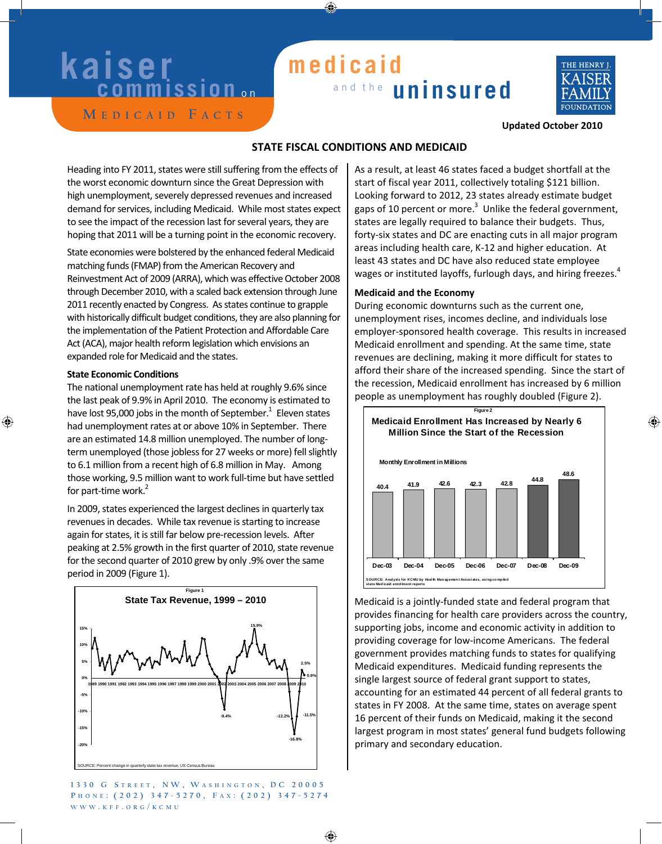# **kaiser**

### and the **uninsured medicaid**



**M e d i c a i d F a c t s**

### **Updated October 2010**

### **STATE FISCAL CONDITIONS AND MEDICAID**

Heading into FY 2011, states were still suffering from the effects of the worst economic downturn since the Great Depression with high unemployment, severely depressed revenues and increased demand for services, including Medicaid. While most states expect to see the impact of the recession last for several years, they are hoping that 2011 will be a turning point in the economic recovery.

State economies were bolstered by the enhanced federal Medicaid matching funds(FMAP) from the American Recovery and Reinvestment Act of 2009 (ARRA), which was effective October 2008 through December 2010, with a scaled back extension through June 2011 recently enacted by Congress. As states continue to grapple with historically difficult budget conditions, they are also planning for the implementation of the Patient Protection and Affordable Care Act (ACA), major health reform legislation which envisions an expanded role for Medicaid and the states.

#### **State Economic Conditions**

The national unemployment rate has held at roughly 9.6% since the last peak of 9.9% in April 2010. The economy is estimated to have lost 95,000 jobs in the month of September. $^1\,$  Eleven states had unemployment rates at or above 10% in September. There are an estimated 14.8 million unemployed. The number of longterm unemployed (those jobless for 27 weeks or more) fell slightly to 6.1 million from a recent high of 6.8 million in May. Among those working, 9.5 million want to work full‐time but have settled for part-time work.<sup>2</sup>

In 2009, states experienced the largest declines in quarterly tax revenues in decades. While tax revenue is starting to increase again for states, it is still far below pre-recession levels. After peaking at 2.5% growth in the first quarter of 2010, state revenue for the second quarter of 2010 grew by only .9% over the same period in 2009 (Figure 1).



**1 3 3 0 G S t r e e t , N W , W a s h i ng t o n , DC 2 0 0 0 5 P h o n e : ( 2 0 2 ) 3 4 7 - 5 2 7 0 , F a x : ( 2 0 2 ) 3 4 7 - 5 2 7 4 www . k ff . o r g / k c m u**

As a result, at least 46 states faced a budget shortfall at the start of fiscal year 2011, collectively totaling \$121 billion. Looking forward to 2012, 23 states already estimate budget gaps of 10 percent or more. $3$  Unlike the federal government, states are legally required to balance their budgets. Thus, forty‐six states and DC are enacting cuts in all major program areas including health care, K‐12 and higher education. At least 43 states and DC have also reduced state employee wages or instituted layoffs, furlough days, and hiring freezes. $4$ 

### **Medicaid and the Economy**

During economic downturns such as the current one, unemployment rises, incomes decline, and individuals lose employer‐sponsored health coverage. This results in increased Medicaid enrollment and spending. At the same time, state revenues are declining, making it more difficult for states to afford their share of the increased spending. Since the start of the recession, Medicaid enrollment has increased by 6 million people as unemployment has roughly doubled (Figure 2).



Medicaid is a jointly‐funded state and federal program that provides financing for health care providers across the country, supporting jobs, income and economic activity in addition to providing coverage for low‐income Americans. The federal government provides matching funds to states for qualifying Medicaid expenditures. Medicaid funding represents the single largest source of federal grant support to states, accounting for an estimated 44 percent of all federal grants to states in FY 2008. At the same time, states on average spent 16 percent of their funds on Medicaid, making it the second largest program in most states' general fund budgets following primary and secondary education.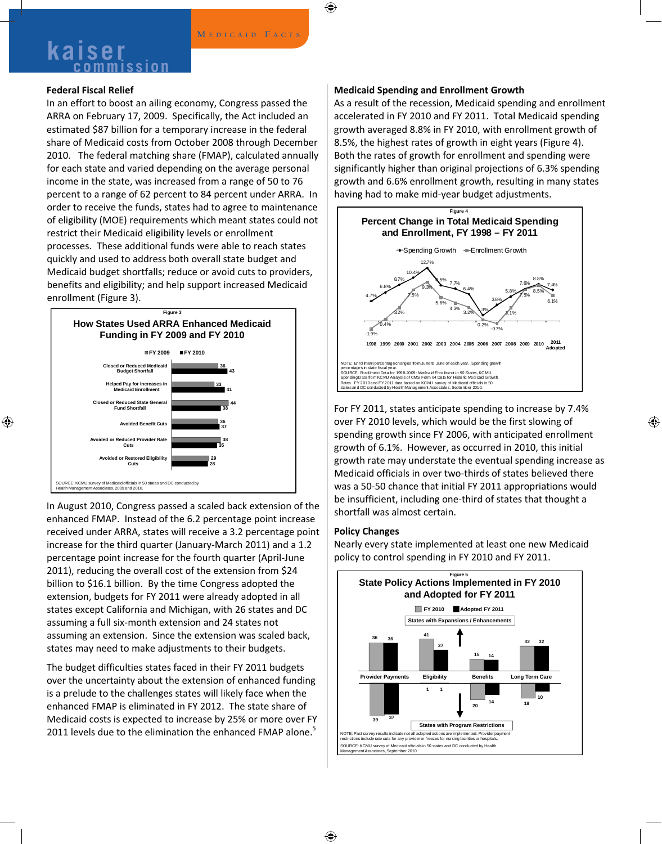### **Kaiser** MEDICAID FACTS

### **Federal Fiscal Relief**

In an effort to boost an ailing economy, Congress passed the ARRA on February 17, 2009. Specifically, the Act included an estimated \$87 billion for a temporary increase in the federal share of Medicaid costs from October 2008 through December 2010. The federal matching share (FMAP), calculated annually for each state and varied depending on the average personal income in the state, was increased from a range of 50 to 76 percent to a range of 62 percent to 84 percent under ARRA. In order to receive the funds, states had to agree to maintenance of eligibility (MOE) requirements which meant states could not restrict their Medicaid eligibility levels or enrollment processes. These additional funds were able to reach states quickly and used to address both overall state budget and Medicaid budget shortfalls; reduce or avoid cuts to providers, benefits and eligibility; and help support increased Medicaid enrollment (Figure 3).



In August 2010, Congress passed a scaled back extension of the enhanced FMAP. Instead of the 6.2 percentage point increase received under ARRA, states will receive a 3.2 percentage point increase for the third quarter (January‐March 2011) and a 1.2 percentage point increase for the fourth quarter (April‐June 2011), reducing the overall cost of the extension from \$24 billion to \$16.1 billion. By the time Congress adopted the extension, budgets for FY 2011 were already adopted in all states except California and Michigan, with 26 states and DC assuming a full six‐month extension and 24 states not assuming an extension. Since the extension was scaled back, states may need to make adjustments to their budgets.

The budget difficulties states faced in their FY 2011 budgets over the uncertainty about the extension of enhanced funding is a prelude to the challenges states will likely face when the enhanced FMAP is eliminated in FY 2012. The state share of Medicaid costs is expected to increase by 25% or more over FY 2011 levels due to the elimination the enhanced FMAP alone.<sup>5</sup>

#### **Medicaid Spending and Enrollment Growth**

As a result of the recession, Medicaid spending and enrollment accelerated in FY 2010 and FY 2011. Total Medicaid spending growth averaged 8.8% in FY 2010, with enrollment growth of 8.5%, the highest rates of growth in eight years (Figure 4). Both the rates of growth for enrollment and spending were significantly higher than original projections of 6.3% spending growth and 6.6% enrollment growth, resulting in many states having had to make mid‐year budget adjustments.



For FY 2011, states anticipate spending to increase by 7.4% over FY 2010 levels, which would be the first slowing of spending growth since FY 2006, with anticipated enrollment growth of 6.1%. However, as occurred in 2010, this initial growth rate may understate the eventual spending increase as Medicaid officials in over two-thirds of states believed there was a 50‐50 chance that initial FY 2011 appropriations would be insufficient, including one‐third of states that thought a shortfall was almost certain.

### **Policy Changes**

Nearly every state implemented at least one new Medicaid policy to control spending in FY 2010 and FY 2011.

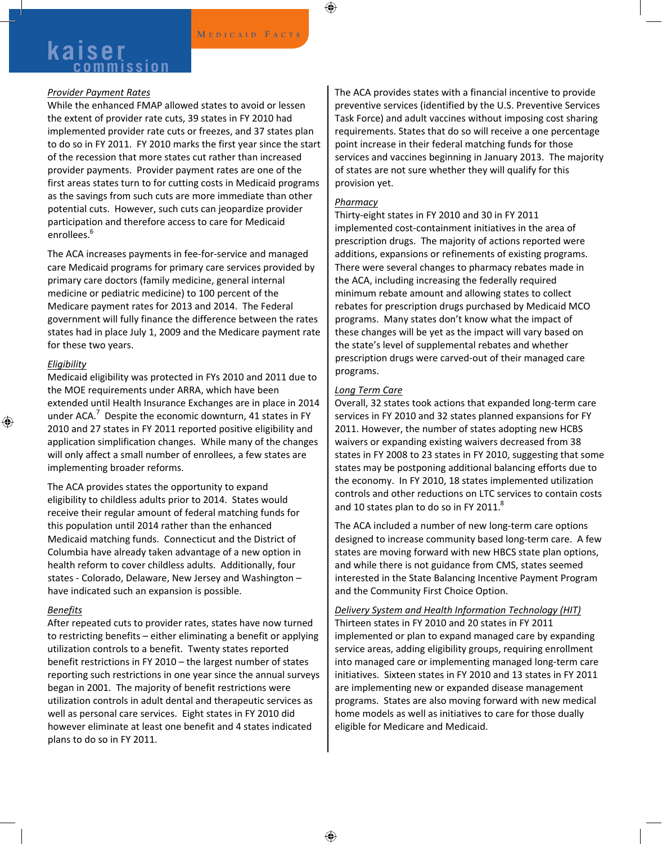## **Kaiser MEDICAID FACTS**

### *Provider Payment Rates*

While the enhanced FMAP allowed states to avoid or lessen the extent of provider rate cuts, 39 states in FY 2010 had implemented provider rate cuts or freezes, and 37 states plan to do so in FY 2011. FY 2010 marks the first year since the start of the recession that more states cut rather than increased provider payments. Provider payment rates are one of the first areas states turn to for cutting costs in Medicaid programs as the savings from such cuts are more immediate than other potential cuts. However, such cuts can jeopardize provider participation and therefore access to care for Medicaid enrollees.<sup>6</sup>

The ACA increases payments in fee‐for‐service and managed care Medicaid programs for primary care services provided by primary care doctors (family medicine, general internal medicine or pediatric medicine) to 100 percent of the Medicare payment rates for 2013 and 2014. The Federal government will fully finance the difference between the rates states had in place July 1, 2009 and the Medicare payment rate for these two years.

### *Eligibility*

Medicaid eligibility was protected in FYs 2010 and 2011 due to the MOE requirements under ARRA, which have been extended until Health Insurance Exchanges are in place in 2014 under ACA. $^7$  Despite the economic downturn, 41 states in FY 2010 and 27 states in FY 2011 reported positive eligibility and application simplification changes. While many of the changes will only affect a small number of enrollees, a few states are implementing broader reforms.

The ACA provides states the opportunity to expand eligibility to childless adults prior to 2014. States would receive their regular amount of federal matching funds for this population until 2014 rather than the enhanced Medicaid matching funds. Connecticut and the District of Columbia have already taken advantage of a new option in health reform to cover childless adults. Additionally, four states ‐ Colorado, Delaware, New Jersey and Washington – have indicated such an expansion is possible.

### *Benefits*

After repeated cuts to provider rates, states have now turned to restricting benefits – either eliminating a benefit or applying utilization controls to a benefit. Twenty states reported benefit restrictions in FY 2010 – the largest number of states reporting such restrictions in one year since the annual surveys began in 2001. The majority of benefit restrictions were utilization controls in adult dental and therapeutic services as well as personal care services. Eight states in FY 2010 did however eliminate at least one benefit and 4 states indicated plans to do so in FY 2011.

The ACA provides states with a financial incentive to provide preventive services (identified by the U.S. Preventive Services Task Force) and adult vaccines without imposing cost sharing requirements. States that do so will receive a one percentage point increase in their federal matching funds for those services and vaccines beginning in January 2013. The majority of states are not sure whether they will qualify for this provision yet.

### *Pharmacy*

Thirty‐eight states in FY 2010 and 30 in FY 2011 implemented cost‐containment initiatives in the area of prescription drugs. The majority of actions reported were additions, expansions or refinements of existing programs. There were several changes to pharmacy rebates made in the ACA, including increasing the federally required minimum rebate amount and allowing states to collect rebates for prescription drugs purchased by Medicaid MCO programs. Many states don't know what the impact of these changes will be yet as the impact will vary based on the state's level of supplemental rebates and whether prescription drugs were carved‐out of their managed care programs.

### *Long Term Care*

Overall, 32 states took actions that expanded long‐term care services in FY 2010 and 32 states planned expansions for FY 2011. However, the number of states adopting new HCBS waivers or expanding existing waivers decreased from 38 states in FY 2008 to 23 states in FY 2010, suggesting that some states may be postponing additional balancing efforts due to the economy. In FY 2010, 18 states implemented utilization controls and other reductions on LTC services to contain costs and 10 states plan to do so in FY 2011. $8$ 

The ACA included a number of new long‐term care options designed to increase community based long‐term care. A few states are moving forward with new HBCS state plan options, and while there is not guidance from CMS, states seemed interested in the State Balancing Incentive Payment Program and the Community First Choice Option.

### *Delivery System and Health Information Technology (HIT)*

Thirteen states in FY 2010 and 20 states in FY 2011 implemented or plan to expand managed care by expanding service areas, adding eligibility groups, requiring enrollment into managed care or implementing managed long‐term care initiatives. Sixteen states in FY 2010 and 13 states in FY 2011 are implementing new or expanded disease management programs. States are also moving forward with new medical home models as well as initiatives to care for those dually eligible for Medicare and Medicaid.